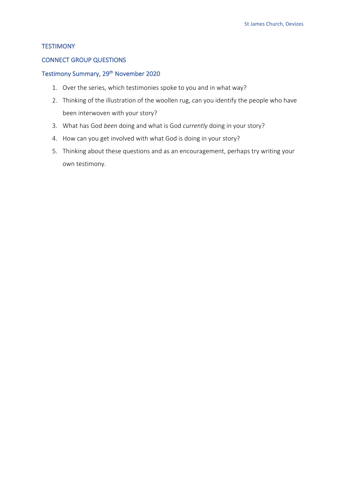#### **TESTIMONY**

#### CONNECT GROUP QUESTIONS

## Testimony Summary, 29<sup>th</sup> November 2020

- 1. Over the series, which testimonies spoke to you and in what way?
- 2. Thinking of the illustration of the woollen rug, can you identify the people who have been interwoven with your story?
- 3. What has God *been* doing and what is God *currently* doing in your story?
- 4. How can you get involved with what God is doing in your story?
- 5. Thinking about these questions and as an encouragement, perhaps try writing your own testimony.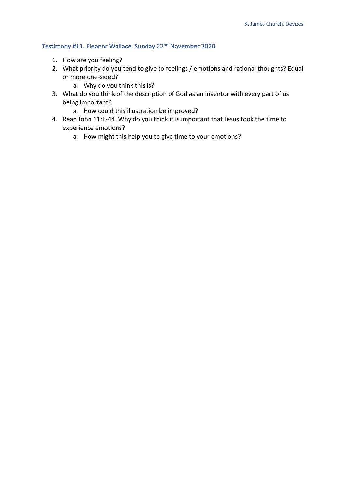# Testimony #11. Eleanor Wallace, Sunday 22nd November 2020

- 1. How are you feeling?
- 2. What priority do you tend to give to feelings / emotions and rational thoughts? Equal or more one-sided?
	- a. Why do you think this is?
- 3. What do you think of the description of God as an inventor with every part of us being important?
	- a. How could this illustration be improved?
- 4. Read John 11:1-44. Why do you think it is important that Jesus took the time to experience emotions?
	- a. How might this help you to give time to your emotions?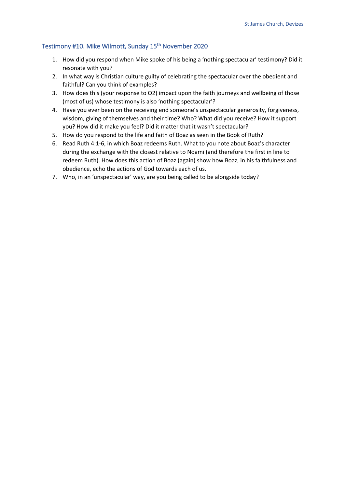## Testimony #10. Mike Wilmott, Sunday 15<sup>th</sup> November 2020

- 1. How did you respond when Mike spoke of his being a 'nothing spectacular' testimony? Did it resonate with you?
- 2. In what way is Christian culture guilty of celebrating the spectacular over the obedient and faithful? Can you think of examples?
- 3. How does this (your response to Q2) impact upon the faith journeys and wellbeing of those (most of us) whose testimony is also 'nothing spectacular'?
- 4. Have you ever been on the receiving end someone's unspectacular generosity, forgiveness, wisdom, giving of themselves and their time? Who? What did you receive? How it support you? How did it make you feel? Did it matter that it wasn't spectacular?
- 5. How do you respond to the life and faith of Boaz as seen in the Book of Ruth?
- 6. Read Ruth 4:1-6, in which Boaz redeems Ruth. What to you note about Boaz's character during the exchange with the closest relative to Noami (and therefore the first in line to redeem Ruth). How does this action of Boaz (again) show how Boaz, in his faithfulness and obedience, echo the actions of God towards each of us.
- 7. Who, in an 'unspectacular' way, are you being called to be alongside today?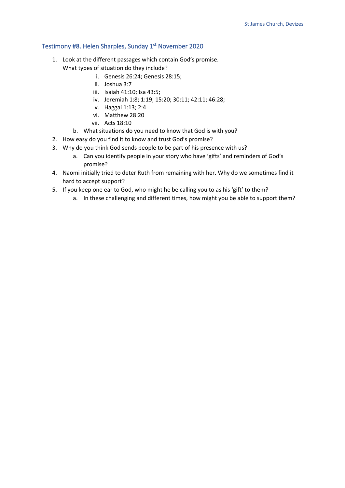#### Testimony #8. Helen Sharples, Sunday 1st November 2020

- 1. Look at the different passages which contain God's promise. What types of situation do they include?
	- i. Genesis 26:24; Genesis 28:15;
	- ii. Joshua 3:7
	- iii. Isaiah 41:10; Isa 43:5;
	- iv. Jeremiah 1:8; 1:19; 15:20; 30:11; 42:11; 46:28;
	- v. Haggai 1:13; 2:4
	- vi. Matthew 28:20
	- vii. Acts 18:10
	- b. What situations do you need to know that God is with you?
- 2. How easy do you find it to know and trust God's promise?
- 3. Why do you think God sends people to be part of his presence with us?
	- a. Can you identify people in your story who have 'gifts' and reminders of God's promise?
- 4. Naomi initially tried to deter Ruth from remaining with her. Why do we sometimes find it hard to accept support?
- 5. If you keep one ear to God, who might he be calling you to as his 'gift' to them?
	- a. In these challenging and different times, how might you be able to support them?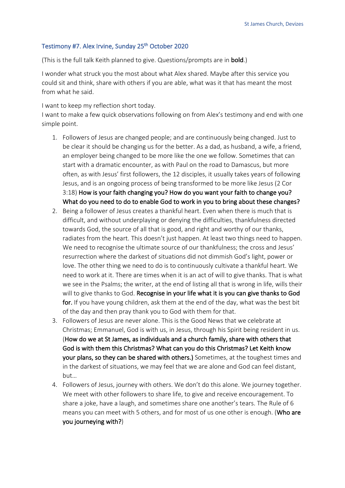#### Testimony #7. Alex Irvine, Sunday 25<sup>th</sup> October 2020

(This is the full talk Keith planned to give. Questions/prompts are in bold.)

I wonder what struck you the most about what Alex shared. Maybe after this service you could sit and think, share with others if you are able, what was it that has meant the most from what he said.

I want to keep my reflection short today.

I want to make a few quick observations following on from Alex's testimony and end with one simple point.

- 1. Followers of Jesus are changed people; and are continuously being changed. Just to be clear it should be changing us for the better. As a dad, as husband, a wife, a friend, an employer being changed to be more like the one we follow. Sometimes that can start with a dramatic encounter, as with Paul on the road to Damascus, but more often, as with Jesus' first followers, the 12 disciples, it usually takes years of following Jesus, and is an ongoing process of being transformed to be more like Jesus (2 Cor 3:18) How is your faith changing you? How do you want your faith to change you? What do you need to do to enable God to work in you to bring about these changes?
- 2. Being a follower of Jesus creates a thankful heart. Even when there is much that is difficult, and without underplaying or denying the difficulties, thankfulness directed towards God, the source of all that is good, and right and worthy of our thanks, radiates from the heart. This doesn't just happen. At least two things need to happen. We need to recognise the ultimate source of our thankfulness; the cross and Jesus' resurrection where the darkest of situations did not dimmish God's light, power or love. The other thing we need to do is to continuously cultivate a thankful heart. We need to work at it. There are times when it is an act of will to give thanks. That is what we see in the Psalms; the writer, at the end of listing all that is wrong in life, wills their will to give thanks to God. Recognise in your life what it is you can give thanks to God for. If you have young children, ask them at the end of the day, what was the best bit of the day and then pray thank you to God with them for that.
- 3. Followers of Jesus are never alone. This is the Good News that we celebrate at Christmas; Emmanuel, God is with us, in Jesus, through his Spirit being resident in us. (How do we at St James, as individuals and a church family, share with others that God is with them this Christmas? What can you do this Christmas? Let Keith know your plans, so they can be shared with others.) Sometimes, at the toughest times and in the darkest of situations, we may feel that we are alone and God can feel distant, but…
- 4. Followers of Jesus, journey with others. We don't do this alone. We journey together. We meet with other followers to share life, to give and receive encouragement. To share a joke, have a laugh, and sometimes share one another's tears. The Rule of 6 means you can meet with 5 others, and for most of us one other is enough. (Who are you journeying with?)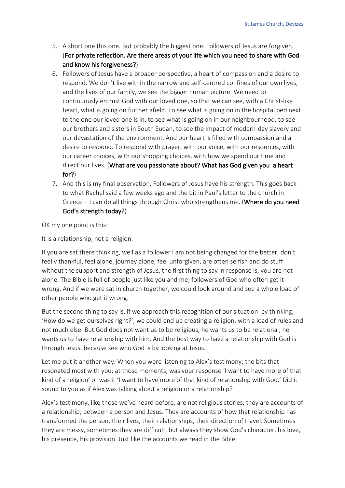- 5. A short one this one. But probably the biggest one. Followers of Jesus are forgiven. (For private reflection. Are there areas of your life which you need to share with God and know his forgiveness?)
- 6. Followers of Jesus have a broader perspective, a heart of compassion and a desire to respond. We don't live within the narrow and self-centred confines of our own lives, and the lives of our family, we see the bigger human picture. We need to continuously entrust God with our loved one, so that we can see, with a Christ-like heart, what is going on further afield. To see what is going on in the hospital bed next to the one our loved one is in, to see what is going on in our neighbourhood, to see our brothers and sisters in South Sudan, to see the impact of modern-day slavery and our devastation of the environment. And our heart is filled with compassion and a desire to respond. To respond with prayer, with our voice, with our resources, with our career choices, with our shopping choices, with how we spend our time and direct our lives. (What are you passionate about? What has God given you a heart for?)
- 7. And this is my final observation. Followers of Jesus have his strength. This goes back to what Rachel said a few weeks ago and the bit in Paul's letter to the church in Greece – I can do all things through Christ who strengthens me. (Where do you need God's strength today?)

OK my one point is this:

It is a relationship, not a religion.

If you are sat there thinking, well as a follower I am not being changed for the better, don't feel v thankful, feel alone, journey alone, feel unforgiven, are often selfish and do stuff without the support and strength of Jesus, the first thing to say in response is, you are not alone. The Bible is full of people just like you and me; followers of God who often get it wrong. And if we were sat in church together, we could look around and see a whole load of other people who get it wrong.

But the second thing to say is, if we approach this recognition of our situation by thinking, 'How do we get ourselves right?', we could end up creating a religion, with a load of rules and not much else. But God does not want us to be religious, he wants us to be relational; he wants us to have relationship with him. And the best way to have a relationship with God is through Jesus, because see who God is by looking at Jesus.

Let me put it another way. When you were listening to Alex's testimony; the bits that resonated most with you; at those moments, was your response 'I want to have more of that kind of a religion' or was it 'I want to have more of that kind of relationship with God.' Did it sound to you as if Alex was talking about a religion or a relationship?

Alex's testimony, like those we've heard before, are not religious stories, they are accounts of a relationship; between a person and Jesus. They are accounts of how that relationship has transformed the person, their lives, their relationships, their direction of travel. Sometimes they are messy, sometimes they are difficult, but always they show God's character, his love, his presence, his provision. Just like the accounts we read in the Bible.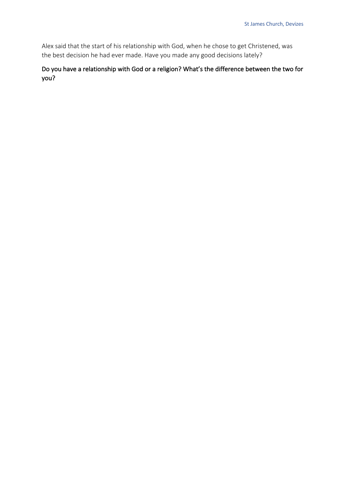Alex said that the start of his relationship with God, when he chose to get Christened, was the best decision he had ever made. Have you made any good decisions lately?

Do you have a relationship with God or a religion? What's the difference between the two for you?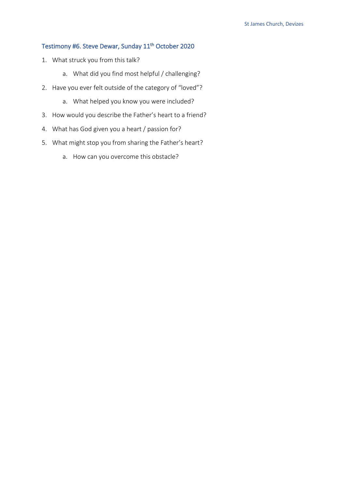# Testimony #6. Steve Dewar, Sunday 11<sup>th</sup> October 2020

- 1. What struck you from this talk?
	- a. What did you find most helpful / challenging?
- 2. Have you ever felt outside of the category of "loved"?
	- a. What helped you know you were included?
- 3. How would you describe the Father's heart to a friend?
- 4. What has God given you a heart / passion for?
- 5. What might stop you from sharing the Father's heart?
	- a. How can you overcome this obstacle?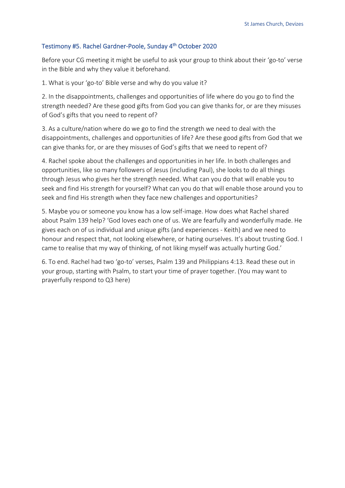#### Testimony #5. Rachel Gardner-Poole, Sunday 4th October 2020

Before your CG meeting it might be useful to ask your group to think about their 'go-to' verse in the Bible and why they value it beforehand.

1. What is your 'go-to' Bible verse and why do you value it?

2. In the disappointments, challenges and opportunities of life where do you go to find the strength needed? Are these good gifts from God you can give thanks for, or are they misuses of God's gifts that you need to repent of?

3. As a culture/nation where do we go to find the strength we need to deal with the disappointments, challenges and opportunities of life? Are these good gifts from God that we can give thanks for, or are they misuses of God's gifts that we need to repent of?

4. Rachel spoke about the challenges and opportunities in her life. In both challenges and opportunities, like so many followers of Jesus (including Paul), she looks to do all things through Jesus who gives her the strength needed. What can you do that will enable you to seek and find His strength for yourself? What can you do that will enable those around you to seek and find His strength when they face new challenges and opportunities?

5. Maybe you or someone you know has a low self-image. How does what Rachel shared about Psalm 139 help? 'God loves each one of us. We are fearfully and wonderfully made. He gives each on of us individual and unique gifts (and experiences - Keith) and we need to honour and respect that, not looking elsewhere, or hating ourselves. It's about trusting God. I came to realise that my way of thinking, of not liking myself was actually hurting God.'

6. To end. Rachel had two 'go-to' verses, Psalm 139 and Philippians 4:13. Read these out in your group, starting with Psalm, to start your time of prayer together. (You may want to prayerfully respond to Q3 here)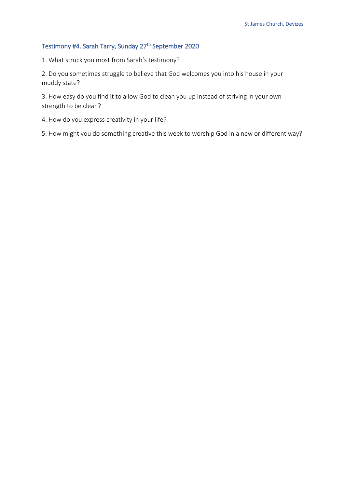# Testimony #4. Sarah Tarry, Sunday 27th September 2020

1. What struck you most from Sarah's testimony?

2. Do you sometimes struggle to believe that God welcomes you into his house in your muddy state?

3. How easy do you find it to allow God to clean you up instead of striving in your own strength to be clean?

4. How do you express creativity in your life?

5. How might you do something creative this week to worship God in a new or different way?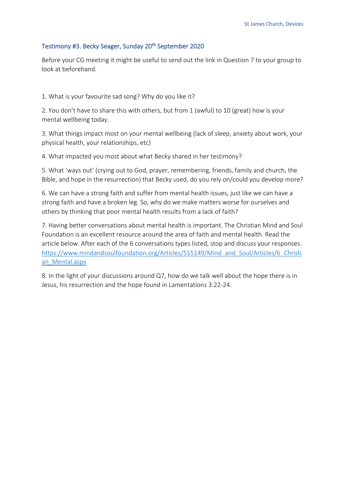### Testimony #3. Becky Seager, Sunday 20<sup>th</sup> September 2020

Before your CG meeting it might be useful to send out the link in Question 7 to your group to look at beforehand.

1. What is your favourite sad song? Why do you like it?

2. You don't have to share this with others, but from 1 (awful) to 10 (great) how is your mental wellbeing today.

3. What things impact most on your mental wellbeing (lack of sleep, anxiety about work, your physical health, your relationships, etc)

4. What impacted you most about what Becky shared in her testimony?

5. What 'ways out' (crying out to God, prayer, remembering, friends, family and church, the Bible, and hope in the resurrection) that Becky used, do you rely on/could you develop more?

6. We can have a strong faith and suffer from mental health issues, just like we can have a strong faith and have a broken leg. So, why do we make matters worse for ourselves and others by thinking that poor mental health results from a lack of faith?

7. Having better conversations about mental health is important. The Christian Mind and Soul Foundation is an excellent resource around the area of faith and mental health. Read the article below. After each of the 6 conversations types listed, stop and discuss your responses. https://www.mindandsoulfoundation.org/Articles/515149/Mind\_and\_Soul/Articles/6\_Christi an\_Mental.aspx

8. In the light of your discussions around Q7, how do we talk well about the hope there is in Jesus, his resurrection and the hope found in Lamentations 3:22-24.